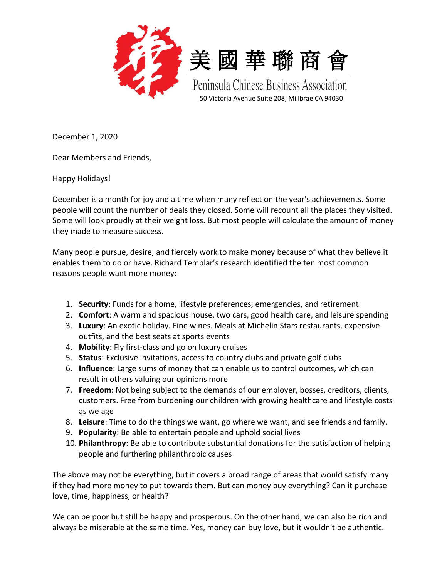



Peninsula Chinese Business Association 50 Victoria Avenue Suite 208, Millbrae CA 94030

December 1, 2020

Dear Members and Friends,

Happy Holidays!

December is a month for joy and a time when many reflect on the year's achievements. Some people will count the number of deals they closed. Some will recount all the places they visited. Some will look proudly at their weight loss. But most people will calculate the amount of money they made to measure success.

Many people pursue, desire, and fiercely work to make money because of what they believe it enables them to do or have. Richard Templar's research identified the ten most common reasons people want more money:

- 1. **Security**: Funds for a home, lifestyle preferences, emergencies, and retirement
- 2. **Comfort**: A warm and spacious house, two cars, good health care, and leisure spending
- 3. **Luxury**: An exotic holiday. Fine wines. Meals at Michelin Stars restaurants, expensive outfits, and the best seats at sports events
- 4. **Mobility**: Fly first-class and go on luxury cruises
- 5. **Status**: Exclusive invitations, access to country clubs and private golf clubs
- 6. **Influence**: Large sums of money that can enable us to control outcomes, which can result in others valuing our opinions more
- 7. **Freedom**: Not being subject to the demands of our employer, bosses, creditors, clients, customers. Free from burdening our children with growing healthcare and lifestyle costs as we age
- 8. **Leisure**: Time to do the things we want, go where we want, and see friends and family.
- 9. **Popularity**: Be able to entertain people and uphold social lives
- 10. **Philanthropy**: Be able to contribute substantial donations for the satisfaction of helping people and furthering philanthropic causes

The above may not be everything, but it covers a broad range of areas that would satisfy many if they had more money to put towards them. But can money buy everything? Can it purchase love, time, happiness, or health?

We can be poor but still be happy and prosperous. On the other hand, we can also be rich and always be miserable at the same time. Yes, money can buy love, but it wouldn't be authentic.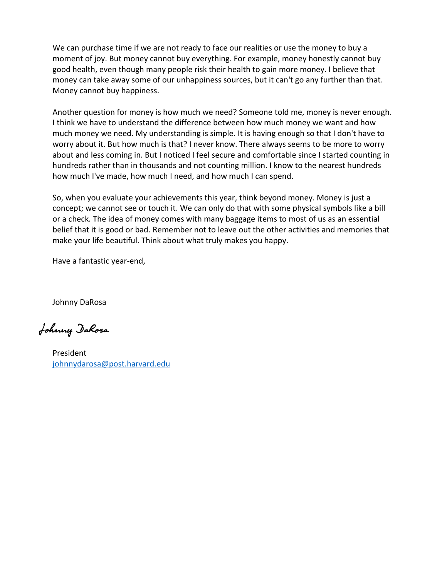We can purchase time if we are not ready to face our realities or use the money to buy a moment of joy. But money cannot buy everything. For example, money honestly cannot buy good health, even though many people risk their health to gain more money. I believe that money can take away some of our unhappiness sources, but it can't go any further than that. Money cannot buy happiness.

Another question for money is how much we need? Someone told me, money is never enough. I think we have to understand the difference between how much money we want and how much money we need. My understanding is simple. It is having enough so that I don't have to worry about it. But how much is that? I never know. There always seems to be more to worry about and less coming in. But I noticed I feel secure and comfortable since I started counting in hundreds rather than in thousands and not counting million. I know to the nearest hundreds how much I've made, how much I need, and how much I can spend.

So, when you evaluate your achievements this year, think beyond money. Money is just a concept; we cannot see or touch it. We can only do that with some physical symbols like a bill or a check. The idea of money comes with many baggage items to most of us as an essential belief that it is good or bad. Remember not to leave out the other activities and memories that make your life beautiful. Think about what truly makes you happy.

Have a fantastic year-end,

Johnny DaRosa

Johnny DaRosa

President [johnnydarosa@post.harvard.edu](mailto:johnnydarosa@post.harvard.edu)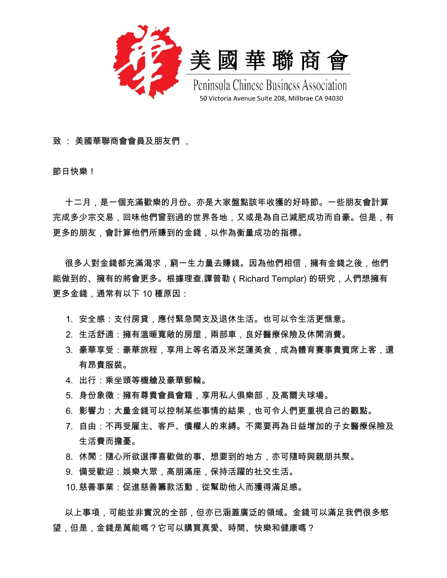



Peninsula Chinese Business Association 50 Victoria Avenue Suite 208, Millbrae CA 94030

致 : 美國華聯商會會員及朋友們 ,

節日快樂!

 十二月,是一個充滿歡樂的月份。亦是大家盤點該年收獲的好時節。一些朋友會計算 完成多少宗交易,回味他們曾到過的世界各地,又或是為自己減肥成功而自豪。但是,有 更多的朋友,會計算他們所賺到的金錢,以作為衡量成功的指標。

很多人對金錢都充滿渴求,窮一生力量去賺錢。因為他們相信,擁有金錢之後,他們 能做到的、擁有的將會更多。根據理查.譚普勒(Richard Templar) 的研究,人們想擁有 更多金錢,通常有以下 10 種原因:

- 1. 安全感:支付房貸,應付緊急開支及退休生活。也可以令生活更惬意。
- 2. 生活舒適:擁有溫暖寬敞的房屋,兩部車,良好醫療保險及休閒消費。
- 3. 豪華享受:豪華旅程,享用上等名酒及米芝蓮美食,成為體育賽事貴賓席上客,還 有昂貴服裝。
- 4. 出行:乘坐頭等機艙及豪華郵輪。
- 5. 身份象徵:擁有尊貴會員會籍,享用私人俱樂部,及高爾夫球場。
- 6. 影響力:大量金錢可以控制某些事情的結果,也可令人們更重視自己的觀點。
- 7. 自由:不再受雇主、客戶、債權人的束縛。不需要再為日益增加的子女醫療保險及 生活費而擔憂。
- 8. 休閒:隨心所欲選擇喜歡做的事、想要到的地方,亦可隨時與親朋共聚。
- 9. 備受歡迎:娛樂大眾,高朋滿座,保持活躍的社交生活。

10.慈善事業:促進慈善籌款活動,從幫助他人而獲得滿足感。

以上事項,可能並非實況的全部,但亦已涵蓋廣泛的領域。金錢可以滿足我們很多慾 望,但是,金錢是萬能嗎?它可以購買真愛、時間、快樂和健康嗎?